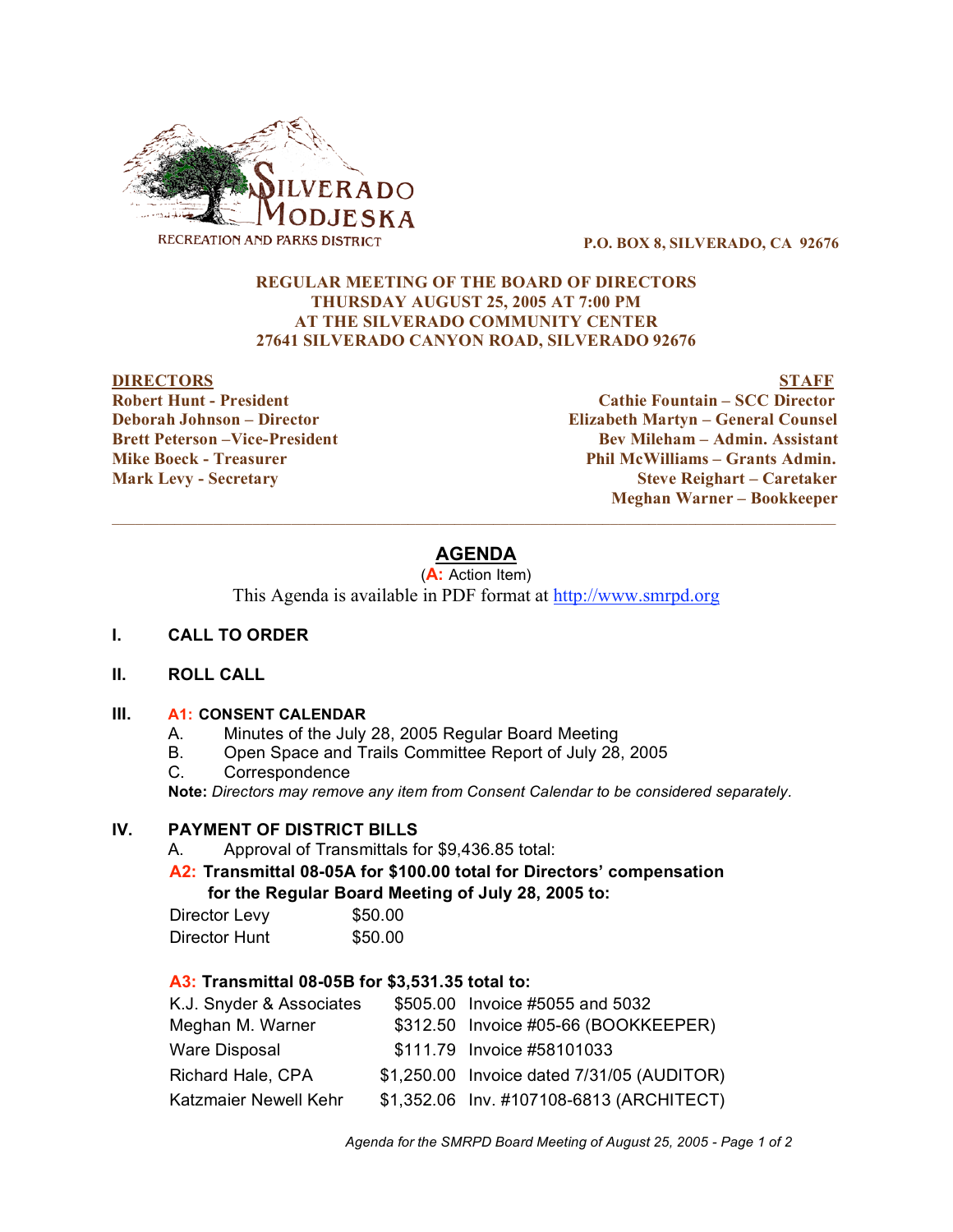

**P.O. BOX 8, SILVERADO, CA 92676**

## **REGULAR MEETING OF THE BOARD OF DIRECTORS THURSDAY AUGUST 25, 2005 AT 7:00 PM AT THE SILVERADO COMMUNITY CENTER 27641 SILVERADO CANYON ROAD, SILVERADO 92676**

#### **DIRECTORS STAFF**

**Robert Hunt - President Cathie Fountain – SCC Director Deborah Johnson – Director Elizabeth Martyn – General Counsel Brett Peterson –Vice-President Bev Mileham – Admin. Assistant Mike Boeck - Treasurer Phil McWilliams – Grants Admin. Mark Levy - Secretary Steve Reighart – Caretaker Meghan Warner – Bookkeeper**  $\mathcal{L}_\mathcal{L} = \{ \mathcal{L}_\mathcal{L} = \{ \mathcal{L}_\mathcal{L} = \{ \mathcal{L}_\mathcal{L} = \{ \mathcal{L}_\mathcal{L} = \{ \mathcal{L}_\mathcal{L} = \{ \mathcal{L}_\mathcal{L} = \{ \mathcal{L}_\mathcal{L} = \{ \mathcal{L}_\mathcal{L} = \{ \mathcal{L}_\mathcal{L} = \{ \mathcal{L}_\mathcal{L} = \{ \mathcal{L}_\mathcal{L} = \{ \mathcal{L}_\mathcal{L} = \{ \mathcal{L}_\mathcal{L} = \{ \mathcal{L}_\mathcal{$ 

# **AGENDA**

(**A:** Action Item)

This Agenda is available in PDF format at http://www.smrpd.org

#### **I. CALL TO ORDER**

#### **II. ROLL CALL**

#### **III. A1: CONSENT CALENDAR**

- A. Minutes of the July 28, 2005 Regular Board Meeting
- B. Open Space and Trails Committee Report of July 28, 2005
- C. Correspondence

**Note:** *Directors may remove any item from Consent Calendar to be considered separately.*

## **IV. PAYMENT OF DISTRICT BILLS**

A. Approval of Transmittals for \$9,436.85 total:

**A2: Transmittal 08-05A for \$100.00 total for Directors' compensation for the Regular Board Meeting of July 28, 2005 to:** 

| Director Levy | \$50.00 |
|---------------|---------|
| Director Hunt | \$50.00 |

## **A3: Transmittal 08-05B for \$3,531.35 total to:**

| K.J. Snyder & Associates | \$505.00 Invoice #5055 and 5032            |
|--------------------------|--------------------------------------------|
| Meghan M. Warner         | \$312.50 Invoice #05-66 (BOOKKEEPER)       |
| Ware Disposal            | \$111.79 Invoice #58101033                 |
| Richard Hale, CPA        | \$1,250.00 Invoice dated 7/31/05 (AUDITOR) |
| Katzmaier Newell Kehr    | \$1,352.06 Inv. #107108-6813 (ARCHITECT)   |